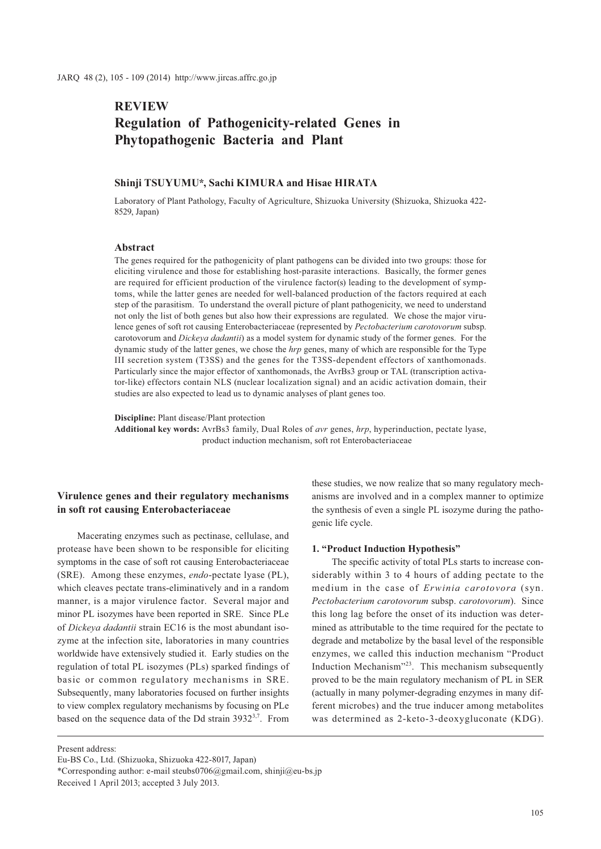# **REVIEW Regulation of Pathogenicity-related Genes in Phytopathogenic Bacteria and Plant**

# **Shinji TSUYUMU\*, Sachi KIMURA and Hisae HIRATA**

Laboratory of Plant Pathology, Faculty of Agriculture, Shizuoka University (Shizuoka, Shizuoka 422- 8529, Japan)

#### **Abstract**

The genes required for the pathogenicity of plant pathogens can be divided into two groups: those for eliciting virulence and those for establishing host-parasite interactions. Basically, the former genes are required for efficient production of the virulence factor(s) leading to the development of symptoms, while the latter genes are needed for well-balanced production of the factors required at each step of the parasitism. To understand the overall picture of plant pathogenicity, we need to understand not only the list of both genes but also how their expressions are regulated. We chose the major virulence genes of soft rot causing Enterobacteriaceae (represented by *Pectobacterium carotovorum* subsp. carotovorum and *Dickeya dadantii*) as a model system for dynamic study of the former genes. For the dynamic study of the latter genes, we chose the *hrp* genes, many of which are responsible for the Type III secretion system (T3SS) and the genes for the T3SS-dependent effectors of xanthomonads. Particularly since the major effector of xanthomonads, the AvrBs3 group or TAL (transcription activator-like) effectors contain NLS (nuclear localization signal) and an acidic activation domain, their studies are also expected to lead us to dynamic analyses of plant genes too.

**Discipline:** Plant disease/Plant protection **Additional key words:** AvrBs3 family, Dual Roles of *avr* genes, *hrp*, hyperinduction, pectate lyase, product induction mechanism, soft rot Enterobacteriaceae

# **Virulence genes and their regulatory mechanisms in soft rot causing Enterobacteriaceae**

Macerating enzymes such as pectinase, cellulase, and protease have been shown to be responsible for eliciting symptoms in the case of soft rot causing Enterobacteriaceae (SRE). Among these enzymes, *endo*-pectate lyase (PL), which cleaves pectate trans-eliminatively and in a random manner, is a major virulence factor. Several major and minor PL isozymes have been reported in SRE. Since PLe of *Dickeya dadantii* strain EC16 is the most abundant isozyme at the infection site, laboratories in many countries worldwide have extensively studied it. Early studies on the regulation of total PL isozymes (PLs) sparked findings of basic or common regulatory mechanisms in SRE. Subsequently, many laboratories focused on further insights to view complex regulatory mechanisms by focusing on PLe based on the sequence data of the Dd strain 3932<sup>3,7</sup>. From

these studies, we now realize that so many regulatory mechanisms are involved and in a complex manner to optimize the synthesis of even a single PL isozyme during the pathogenic life cycle.

## **1. "Product Induction Hypothesis"**

The specific activity of total PLs starts to increase considerably within 3 to 4 hours of adding pectate to the medium in the case of *Erwinia carotovora* (syn. *Pectobacterium carotovorum* subsp. *carotovorum*). Since this long lag before the onset of its induction was determined as attributable to the time required for the pectate to degrade and metabolize by the basal level of the responsible enzymes, we called this induction mechanism "Product Induction Mechanism"23. This mechanism subsequently proved to be the main regulatory mechanism of PL in SER (actually in many polymer-degrading enzymes in many different microbes) and the true inducer among metabolites was determined as 2-keto-3-deoxygluconate (KDG).

Eu-BS Co., Ltd. (Shizuoka, Shizuoka 422-8017, Japan)

Present address:

<sup>\*</sup>Corresponding author: e-mail steubs0706@gmail.com, shinji@eu-bs.jp

Received 1 April 2013; accepted 3 July 2013.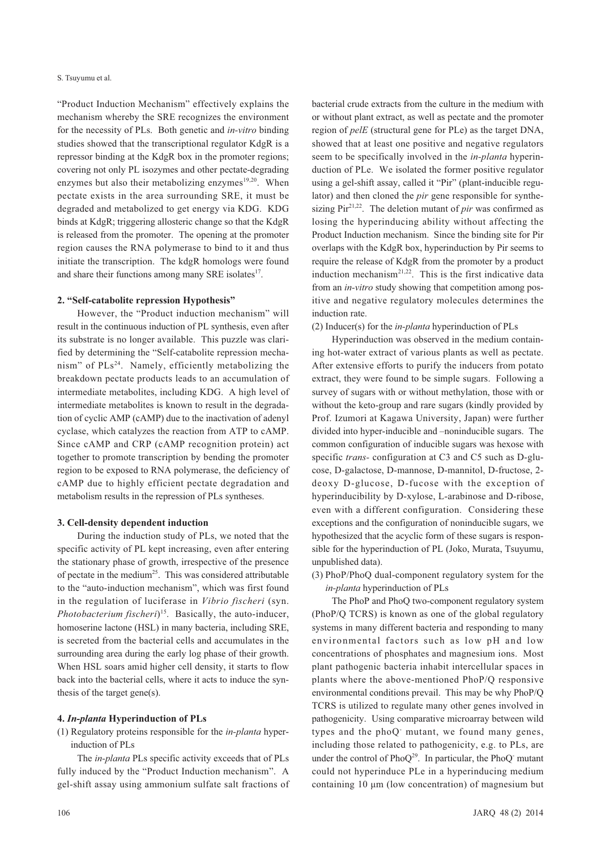"Product Induction Mechanism" effectively explains the mechanism whereby the SRE recognizes the environment for the necessity of PLs. Both genetic and *in-vitro* binding studies showed that the transcriptional regulator KdgR is a repressor binding at the KdgR box in the promoter regions; covering not only PL isozymes and other pectate-degrading enzymes but also their metabolizing enzymes $19,20$ . When pectate exists in the area surrounding SRE, it must be degraded and metabolized to get energy via KDG. KDG binds at KdgR; triggering allosteric change so that the KdgR is released from the promoter. The opening at the promoter region causes the RNA polymerase to bind to it and thus initiate the transcription. The kdgR homologs were found and share their functions among many SRE isolates $17$ .

## **2. "Self-catabolite repression Hypothesis"**

However, the "Product induction mechanism" will result in the continuous induction of PL synthesis, even after its substrate is no longer available. This puzzle was clarified by determining the "Self-catabolite repression mechanism" of PLs<sup>24</sup>. Namely, efficiently metabolizing the breakdown pectate products leads to an accumulation of intermediate metabolites, including KDG. A high level of intermediate metabolites is known to result in the degradation of cyclic AMP (cAMP) due to the inactivation of adenyl cyclase, which catalyzes the reaction from ATP to cAMP. Since cAMP and CRP (cAMP recognition protein) act together to promote transcription by bending the promoter region to be exposed to RNA polymerase, the deficiency of cAMP due to highly efficient pectate degradation and metabolism results in the repression of PLs syntheses.

## **3. Cell-density dependent induction**

During the induction study of PLs, we noted that the specific activity of PL kept increasing, even after entering the stationary phase of growth, irrespective of the presence of pectate in the medium<sup>25</sup>. This was considered attributable to the "auto-induction mechanism", which was first found in the regulation of luciferase in *Vibrio fischeri* (syn. *Photobacterium fischeri*) 15. Basically, the auto-inducer, homoserine lactone (HSL) in many bacteria, including SRE, is secreted from the bacterial cells and accumulates in the surrounding area during the early log phase of their growth. When HSL soars amid higher cell density, it starts to flow back into the bacterial cells, where it acts to induce the synthesis of the target gene(s).

#### **4.** *In-planta* **Hyperinduction of PLs**

(1) Regulatory proteins responsible for the *in-planta* hyperinduction of PLs

The *in-planta* PLs specific activity exceeds that of PLs fully induced by the "Product Induction mechanism". A gel-shift assay using ammonium sulfate salt fractions of

bacterial crude extracts from the culture in the medium with or without plant extract, as well as pectate and the promoter region of *pelE* (structural gene for PLe) as the target DNA, showed that at least one positive and negative regulators seem to be specifically involved in the *in-planta* hyperinduction of PLe. We isolated the former positive regulator using a gel-shift assay, called it "Pir" (plant-inducible regulator) and then cloned the *pir* gene responsible for synthesizing Pir<sup>21,22</sup>. The deletion mutant of *pir* was confirmed as losing the hyperinducing ability without affecting the Product Induction mechanism. Since the binding site for Pir overlaps with the KdgR box, hyperinduction by Pir seems to require the release of KdgR from the promoter by a product induction mechanism<sup>21,22</sup>. This is the first indicative data from an *in-vitro* study showing that competition among positive and negative regulatory molecules determines the induction rate.

(2) Inducer(s) for the *in-planta* hyperinduction of PLs

Hyperinduction was observed in the medium containing hot-water extract of various plants as well as pectate. After extensive efforts to purify the inducers from potato extract, they were found to be simple sugars. Following a survey of sugars with or without methylation, those with or without the keto-group and rare sugars (kindly provided by Prof. Izumori at Kagawa University, Japan) were further divided into hyper-inducible and –noninducible sugars. The common configuration of inducible sugars was hexose with specific *trans-* configuration at C3 and C5 such as D-glucose, D-galactose, D-mannose, D-mannitol, D-fructose, 2 deoxy D-glucose, D-fucose with the exception of hyperinducibility by D-xylose, L-arabinose and D-ribose, even with a different configuration. Considering these exceptions and the configuration of noninducible sugars, we hypothesized that the acyclic form of these sugars is responsible for the hyperinduction of PL (Joko, Murata, Tsuyumu, unpublished data).

(3) PhoP/PhoQ dual-component regulatory system for the *in-planta* hyperinduction of PLs

The PhoP and PhoQ two-component regulatory system (PhoP/Q TCRS) is known as one of the global regulatory systems in many different bacteria and responding to many environmental factors such as low pH and low concentrations of phosphates and magnesium ions. Most plant pathogenic bacteria inhabit intercellular spaces in plants where the above-mentioned PhoP/Q responsive environmental conditions prevail. This may be why PhoP/Q TCRS is utilized to regulate many other genes involved in pathogenicity. Using comparative microarray between wild types and the phoQ- mutant, we found many genes, including those related to pathogenicity, e.g. to PLs, are under the control of  $PhoQ^{29}$ . In particular, the PhoQ mutant could not hyperinduce PLe in a hyperinducing medium containing 10 μm (low concentration) of magnesium but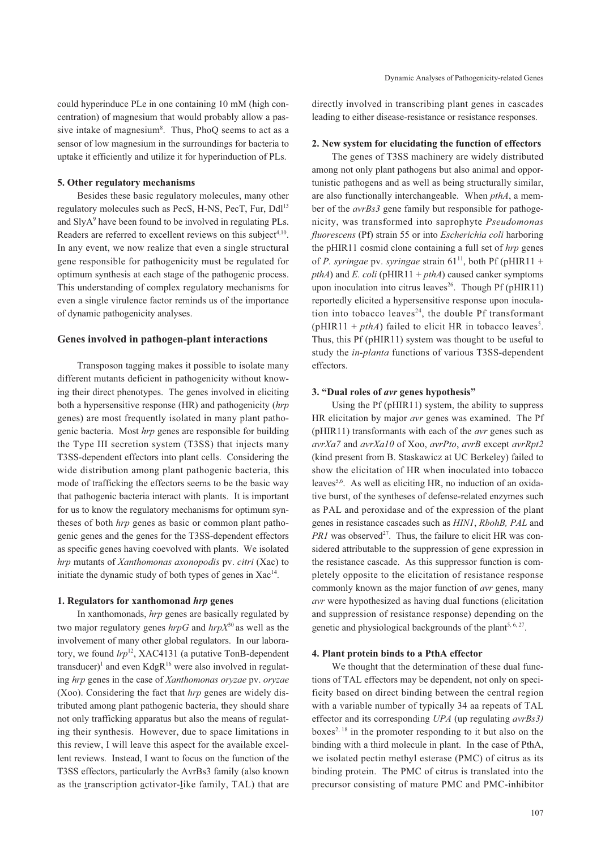could hyperinduce PLe in one containing 10 mM (high concentration) of magnesium that would probably allow a passive intake of magnesium<sup>8</sup>. Thus, PhoQ seems to act as a sensor of low magnesium in the surroundings for bacteria to uptake it efficiently and utilize it for hyperinduction of PLs.

## **5. Other regulatory mechanisms**

Besides these basic regulatory molecules, many other regulatory molecules such as PecS, H-NS, PecT, Fur, Ddl<sup>13</sup> and  $\text{SlyA}^9$  have been found to be involved in regulating PLs. Readers are referred to excellent reviews on this subject<sup> $4,10$ </sup>. In any event, we now realize that even a single structural gene responsible for pathogenicity must be regulated for optimum synthesis at each stage of the pathogenic process. This understanding of complex regulatory mechanisms for even a single virulence factor reminds us of the importance of dynamic pathogenicity analyses.

#### **Genes involved in pathogen-plant interactions**

Transposon tagging makes it possible to isolate many different mutants deficient in pathogenicity without knowing their direct phenotypes. The genes involved in eliciting both a hypersensitive response (HR) and pathogenicity (*hrp* genes) are most frequently isolated in many plant pathogenic bacteria. Most *hrp* genes are responsible for building the Type III secretion system (T3SS) that injects many T3SS-dependent effectors into plant cells. Considering the wide distribution among plant pathogenic bacteria, this mode of trafficking the effectors seems to be the basic way that pathogenic bacteria interact with plants. It is important for us to know the regulatory mechanisms for optimum syntheses of both *hrp* genes as basic or common plant pathogenic genes and the genes for the T3SS-dependent effectors as specific genes having coevolved with plants. We isolated *hrp* mutants of *Xanthomonas axonopodis* pv. *citri* (Xac) to initiate the dynamic study of both types of genes in  $Xac<sup>14</sup>$ .

#### **1. Regulators for xanthomonad** *hrp* **genes**

In xanthomonads, *hrp* genes are basically regulated by two major regulatory genes *hrpG* and *hrpX*30 as well as the involvement of many other global regulators. In our laboratory, we found *lrp*12, XAC4131 (a putative TonB-dependent transducer)<sup>1</sup> and even KdgR<sup>16</sup> were also involved in regulating *hrp* genes in the case of *Xanthomonas oryzae* pv. *oryzae*  (Xoo). Considering the fact that *hrp* genes are widely distributed among plant pathogenic bacteria, they should share not only trafficking apparatus but also the means of regulating their synthesis. However, due to space limitations in this review, I will leave this aspect for the available excellent reviews. Instead, I want to focus on the function of the T3SS effectors, particularly the AvrBs3 family (also known as the transcription activator-like family, TAL) that are

directly involved in transcribing plant genes in cascades leading to either disease-resistance or resistance responses.

### **2. New system for elucidating the function of effectors**

The genes of T3SS machinery are widely distributed among not only plant pathogens but also animal and opportunistic pathogens and as well as being structurally similar, are also functionally interchangeable. When *pthA*, a member of the *avrBs3* gene family but responsible for pathogenicity, was transformed into saprophyte *Pseudomonas fluorescens* (Pf) strain 55 or into *Escherichia coli* harboring the pHIR11 cosmid clone containing a full set of *hrp* genes of *P. syringae* pv. *syringae* strain  $61<sup>11</sup>$ , both Pf (pHIR11 +  $pthA$ ) and *E. coli* (pHIR11 +  $pthA$ ) caused canker symptoms upon inoculation into citrus leaves<sup>26</sup>. Though Pf (pHIR11) reportedly elicited a hypersensitive response upon inoculation into tobacco leaves<sup>24</sup>, the double Pf transformant (pHIR11 +  $pthA$ ) failed to elicit HR in tobacco leaves<sup>5</sup>. Thus, this Pf (pHIR11) system was thought to be useful to study the *in-planta* functions of various T3SS-dependent effectors.

# **3. "Dual roles of** *avr* **genes hypothesis"**

Using the Pf (pHIR11) system, the ability to suppress HR elicitation by major *avr* genes was examined. The Pf (pHIR11) transformants with each of the *avr* genes such as *avrXa7* and *avrXa10* of Xoo, *avrPto*, *avrB* except *avrRpt2* (kind present from B. Staskawicz at UC Berkeley) failed to show the elicitation of HR when inoculated into tobacco leaves<sup>5,6</sup>. As well as eliciting HR, no induction of an oxidative burst, of the syntheses of defense-related enzymes such as PAL and peroxidase and of the expression of the plant genes in resistance cascades such as *HIN1*, *RbohB, PAL* and  $PR1$  was observed<sup>27</sup>. Thus, the failure to elicit HR was considered attributable to the suppression of gene expression in the resistance cascade. As this suppressor function is completely opposite to the elicitation of resistance response commonly known as the major function of *avr* genes, many *avr* were hypothesized as having dual functions (elicitation and suppression of resistance response) depending on the genetic and physiological backgrounds of the plant<sup>5, 6, 27</sup>.

### **4. Plant protein binds to a PthA effector**

We thought that the determination of these dual functions of TAL effectors may be dependent, not only on specificity based on direct binding between the central region with a variable number of typically 34 aa repeats of TAL effector and its corresponding *UPA* (up regulating *avrBs3)* boxes<sup>2, 18</sup> in the promoter responding to it but also on the binding with a third molecule in plant. In the case of PthA, we isolated pectin methyl esterase (PMC) of citrus as its binding protein. The PMC of citrus is translated into the precursor consisting of mature PMC and PMC-inhibitor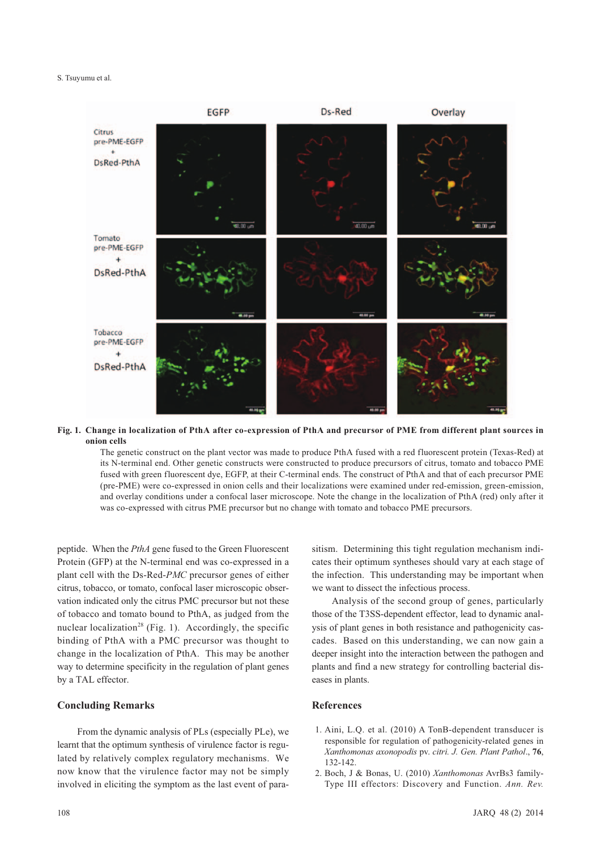#### S. Tsuyumu et al.



**Fig. 1. Change in localization of PthA after co-expression of PthA and precursor of PME from different plant sources in onion cells**

The genetic construct on the plant vector was made to produce PthA fused with a red fluorescent protein (Texas-Red) at its N-terminal end. Other genetic constructs were constructed to produce precursors of citrus, tomato and tobacco PME fused with green fluorescent dye, EGFP, at their C-terminal ends. The construct of PthA and that of each precursor PME (pre-PME) were co-expressed in onion cells and their localizations were examined under red-emission, green-emission, and overlay conditions under a confocal laser microscope. Note the change in the localization of PthA (red) only after it was co-expressed with citrus PME precursor but no change with tomato and tobacco PME precursors.

peptide. When the *PthA* gene fused to the Green Fluorescent Protein (GFP) at the N-terminal end was co-expressed in a plant cell with the Ds-Red-*PMC* precursor genes of either citrus, tobacco, or tomato, confocal laser microscopic observation indicated only the citrus PMC precursor but not these of tobacco and tomato bound to PthA, as judged from the nuclear localization<sup>28</sup> (Fig. 1). Accordingly, the specific binding of PthA with a PMC precursor was thought to change in the localization of PthA. This may be another way to determine specificity in the regulation of plant genes by a TAL effector.

## **Concluding Remarks**

From the dynamic analysis of PLs (especially PLe), we learnt that the optimum synthesis of virulence factor is regulated by relatively complex regulatory mechanisms. We now know that the virulence factor may not be simply involved in eliciting the symptom as the last event of parasitism. Determining this tight regulation mechanism indicates their optimum syntheses should vary at each stage of the infection. This understanding may be important when we want to dissect the infectious process.

Analysis of the second group of genes, particularly those of the T3SS-dependent effector, lead to dynamic analysis of plant genes in both resistance and pathogenicity cascades. Based on this understanding, we can now gain a deeper insight into the interaction between the pathogen and plants and find a new strategy for controlling bacterial diseases in plants.

# **References**

- 1. Aini, L.Q. et al. (2010) A TonB-dependent transducer is responsible for regulation of pathogenicity-related genes in *Xanthomonas axonopodis* pv. *citri. J. Gen. Plant Pathol*., **76**, 132-142.
- 2. Boch, J & Bonas, U. (2010) *Xanthomonas* AvrBs3 family-Type III effectors: Discovery and Function. *Ann. Rev.*